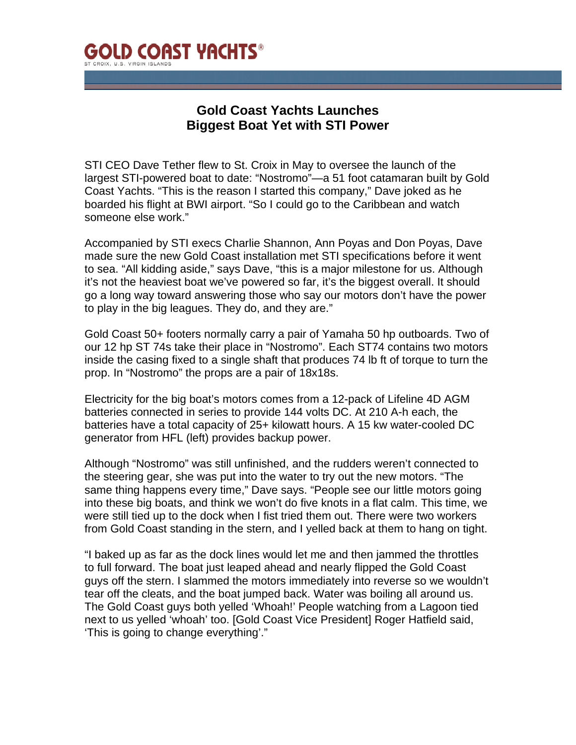

## **Gold Coast Yachts Launches Biggest Boat Yet with STI Power**

STI CEO Dave Tether flew to St. Croix in May to oversee the launch of the largest STI-powered boat to date: "Nostromo"—a 51 foot catamaran built by Gold Coast Yachts. "This is the reason I started this company," Dave joked as he boarded his flight at BWI airport. "So I could go to the Caribbean and watch someone else work."

Accompanied by STI execs Charlie Shannon, Ann Poyas and Don Poyas, Dave made sure the new Gold Coast installation met STI specifications before it went to sea. "All kidding aside," says Dave, "this is a major milestone for us. Although it's not the heaviest boat we've powered so far, it's the biggest overall. It should go a long way toward answering those who say our motors don't have the power to play in the big leagues. They do, and they are."

Gold Coast 50+ footers normally carry a pair of Yamaha 50 hp outboards. Two of our 12 hp ST 74s take their place in "Nostromo". Each ST74 contains two motors inside the casing fixed to a single shaft that produces 74 lb ft of torque to turn the prop. In "Nostromo" the props are a pair of 18x18s.

Electricity for the big boat's motors comes from a 12-pack of Lifeline 4D AGM batteries connected in series to provide 144 volts DC. At 210 A-h each, the batteries have a total capacity of 25+ kilowatt hours. A 15 kw water-cooled DC generator from HFL (left) provides backup power.

Although "Nostromo" was still unfinished, and the rudders weren't connected to the steering gear, she was put into the water to try out the new motors. "The same thing happens every time," Dave says. "People see our little motors going into these big boats, and think we won't do five knots in a flat calm. This time, we were still tied up to the dock when I fist tried them out. There were two workers from Gold Coast standing in the stern, and I yelled back at them to hang on tight.

"I baked up as far as the dock lines would let me and then jammed the throttles to full forward. The boat just leaped ahead and nearly flipped the Gold Coast guys off the stern. I slammed the motors immediately into reverse so we wouldn't tear off the cleats, and the boat jumped back. Water was boiling all around us. The Gold Coast guys both yelled 'Whoah!' People watching from a Lagoon tied next to us yelled 'whoah' too. [Gold Coast Vice President] Roger Hatfield said, 'This is going to change everything'."